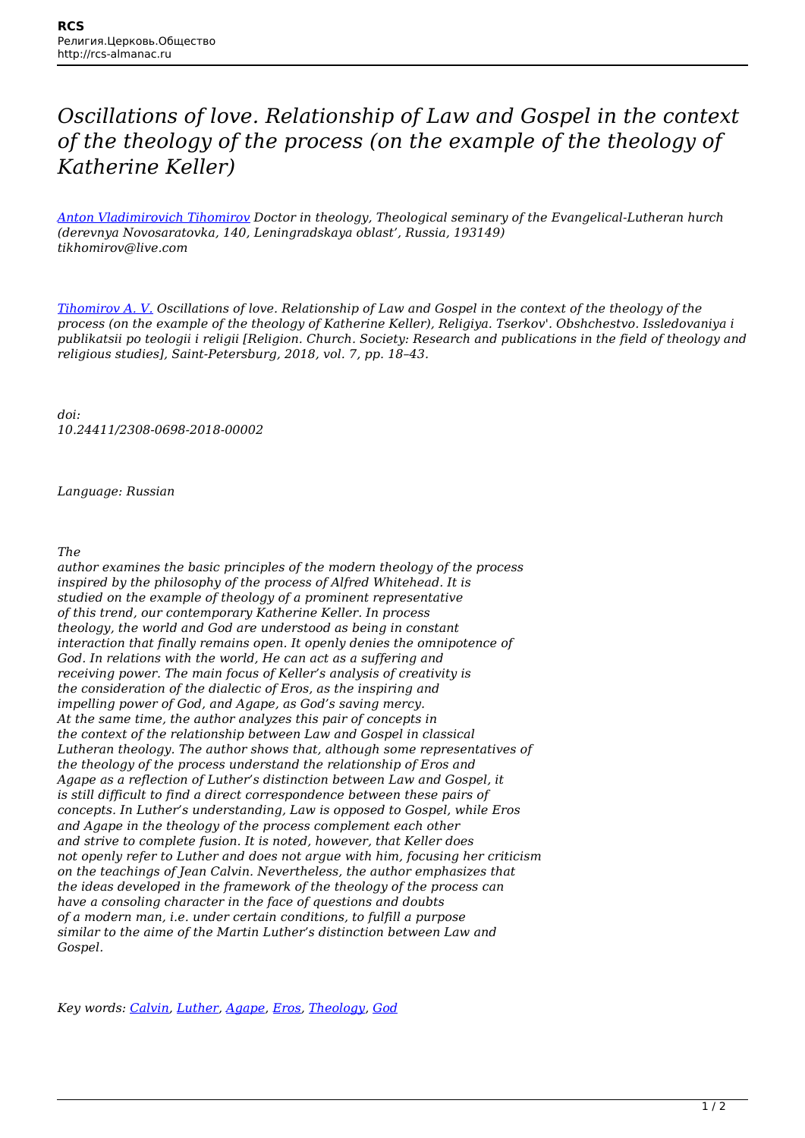## *Oscillations of love. Relationship of Law and Gospel in the context of the theology of the process (on the example of the theology of Katherine Keller)*

*[Anton Vladimirovich Tihomirov](http://rcs-almanac.ru/en/tag/anton-vladimirovich-tihomirov/) Doctor in theology, Theological seminary of the Evangelical-Lutheran hurch (derevnya Novosaratovka, 140, Leningradskaya oblast', Russia, 193149) tikhomirov@live.com*

*[Tihomirov A. V.](http://rcs-almanac.ru/en/tag/tihomirov-a-v/) Oscillations of love. Relationship of Law and Gospel in the context of the theology of the process (on the example of the theology of Katherine Keller), Religiya. Tserkov'. Obshchestvo. Issledovaniya i publikatsii po teologii i religii [Religion. Church. Society: Research and publications in the field of theology and religious studies], Saint-Petersburg, 2018, vol. 7, pp. 18–43.*

*doi: 10.24411/2308-0698-2018-00002*

*Language: Russian*

*The*

*author examines the basic principles of the modern theology of the process inspired by the philosophy of the process of Alfred Whitehead. It is studied on the example of theology of a prominent representative of this trend, our contemporary Katherine Keller. In process theology, the world and God are understood as being in constant interaction that finally remains open. It openly denies the omnipotence of God. In relations with the world, He can act as a suffering and receiving power. The main focus of Keller's analysis of creativity is the consideration of the dialectic of Eros, as the inspiring and impelling power of God, and Agape, as God's saving mercy. At the same time, the author analyzes this pair of concepts in the context of the relationship between Law and Gospel in classical Lutheran theology. The author shows that, although some representatives of the theology of the process understand the relationship of Eros and Agape as a reflection of Luther's distinction between Law and Gospel, it is still difficult to find a direct correspondence between these pairs of concepts. In Luther's understanding, Law is opposed to Gospel, while Eros and Agape in the theology of the process complement each other and strive to complete fusion. It is noted, however, that Keller does not openly refer to Luther and does not argue with him, focusing her criticism on the teachings of Jean Calvin. Nevertheless, the author emphasizes that the ideas developed in the framework of the theology of the process can have a consoling character in the face of questions and doubts of a modern man, i.e. under certain conditions, to fulfill a purpose similar to the aime of the Martin Luther's distinction between Law and Gospel.*

*Key words: [Calvin](http://rcs-almanac.ru/en/tag/calvin/), [Luther,](http://rcs-almanac.ru/en/tag/martin-luther/) [Agape](http://rcs-almanac.ru/en/tag/agape/), [Eros,](http://rcs-almanac.ru/en/tag/eros/) [Theology](http://rcs-almanac.ru/en/tag/theology/), [God](http://rcs-almanac.ru/en/tag/%ef%bb%bfgod/)*